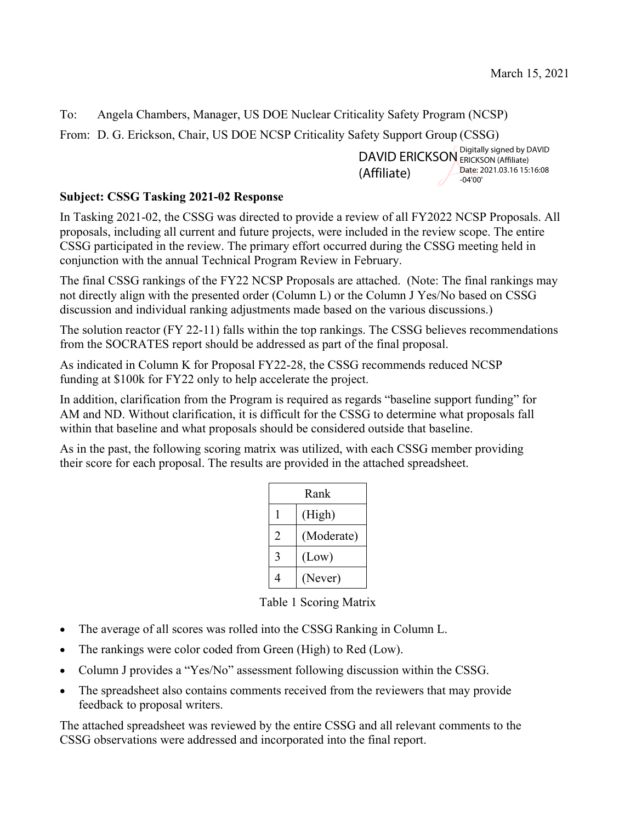To: Angela Chambers, Manager, US DOE Nuclear Criticality Safety Program (NCSP)

From: D. G. Erickson, Chair, US DOE NCSP Criticality Safety Support Group (CSSG)

DAVID ERICKSON ERICKSON (Affiliate) (Affiliate) ERICKSON (Affiliate) Date: 2021.03.16 15:16:08 -04'00'

## **Subject: CSSG Tasking 2021-02 Response**

In Tasking 2021-02, the CSSG was directed to provide a review of all FY2022 NCSP Proposals. All proposals, including all current and future projects, were included in the review scope. The entire CSSG participated in the review. The primary effort occurred during the CSSG meeting held in conjunction with the annual Technical Program Review in February.

The final CSSG rankings of the FY22 NCSP Proposals are attached. (Note: The final rankings may not directly align with the presented order (Column L) or the Column J Yes/No based on CSSG discussion and individual ranking adjustments made based on the various discussions.)

The solution reactor (FY 22-11) falls within the top rankings. The CSSG believes recommendations from the SOCRATES report should be addressed as part of the final proposal.

As indicated in Column K for Proposal FY22-28, the CSSG recommends reduced NCSP funding at \$100k for FY22 only to help accelerate the project.

In addition, clarification from the Program is required as regards "baseline support funding" for AM and ND. Without clarification, it is difficult for the CSSG to determine what proposals fall within that baseline and what proposals should be considered outside that baseline.

As in the past, the following scoring matrix was utilized, with each CSSG member providing their score for each proposal. The results are provided in the attached spreadsheet.

| Rank |            |
|------|------------|
|      | (High)     |
| 2    | (Moderate) |
| 3    | (Low)      |
| 4    | (Never)    |

Table 1 Scoring Matrix

- The average of all scores was rolled into the CSSG Ranking in Column L.
- The rankings were color coded from Green (High) to Red (Low).
- Column J provides a "Yes/No" assessment following discussion within the CSSG.
- The spreadsheet also contains comments received from the reviewers that may provide feedback to proposal writers.

The attached spreadsheet was reviewed by the entire CSSG and all relevant comments to the CSSG observations were addressed and incorporated into the final report.